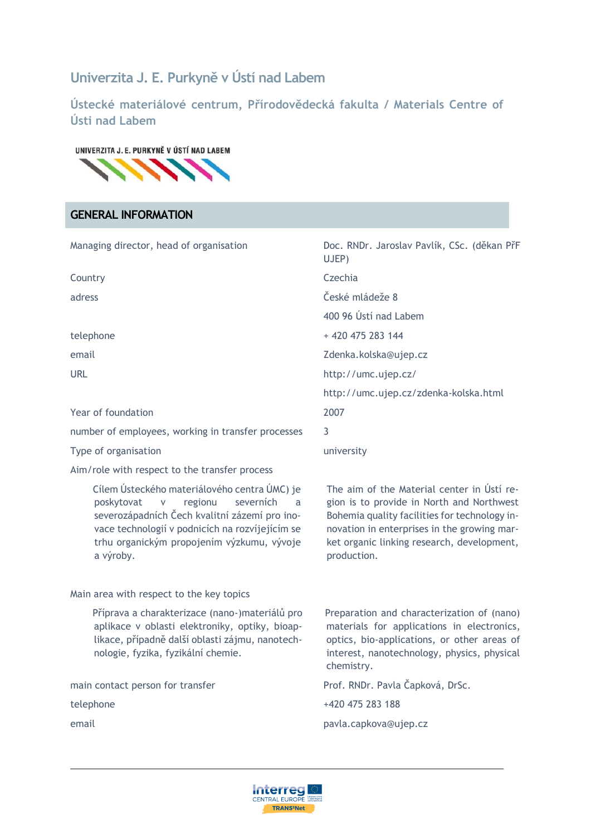# **Univerzita J. E. Purkyně v Ústí nad Labem**

**Ústecké materiálové centrum, Přírodovědecká fakulta / Materials Centre of Ústi nad Labem**

#### UNIVERZITA J. E. PURKYNĚ V ÚSTÍ NAD LABEM



# **GENERAL INFORMATION**

| Managing director, head of organisation                                                                                                                                                                                                                                 | Doc. RNDr. Jaroslav Pavlík, CSc. (děkan PřF<br>UJEP)                                                                                                                                                                                                 |
|-------------------------------------------------------------------------------------------------------------------------------------------------------------------------------------------------------------------------------------------------------------------------|------------------------------------------------------------------------------------------------------------------------------------------------------------------------------------------------------------------------------------------------------|
| Country                                                                                                                                                                                                                                                                 | Czechia                                                                                                                                                                                                                                              |
| adress                                                                                                                                                                                                                                                                  | České mládeže 8                                                                                                                                                                                                                                      |
|                                                                                                                                                                                                                                                                         | 400 96 Ústí nad Labem                                                                                                                                                                                                                                |
| telephone                                                                                                                                                                                                                                                               | +420 475 283 144                                                                                                                                                                                                                                     |
| email                                                                                                                                                                                                                                                                   | Zdenka.kolska@ujep.cz                                                                                                                                                                                                                                |
| URL                                                                                                                                                                                                                                                                     | http://umc.ujep.cz/                                                                                                                                                                                                                                  |
|                                                                                                                                                                                                                                                                         | http://umc.ujep.cz/zdenka-kolska.html                                                                                                                                                                                                                |
| Year of foundation                                                                                                                                                                                                                                                      | 2007                                                                                                                                                                                                                                                 |
| number of employees, working in transfer processes                                                                                                                                                                                                                      | 3                                                                                                                                                                                                                                                    |
| Type of organisation                                                                                                                                                                                                                                                    | university                                                                                                                                                                                                                                           |
| Aim/role with respect to the transfer process                                                                                                                                                                                                                           |                                                                                                                                                                                                                                                      |
| Cílem Ústeckého materiálového centra ÚMC) je<br>regionu<br>severních<br>poskytovat<br>${\mathsf V}$<br>a<br>severozápadních Čech kvalitní zázemí pro ino-<br>vace technologií v podnicích na rozvíjejícím se<br>trhu organickým propojením výzkumu, vývoje<br>a výroby. | The aim of the Material center in Usti re-<br>gion is to provide in North and Northwest<br>Bohemia quality facilities for technology in-<br>novation in enterprises in the growing mar-<br>ket organic linking research, development,<br>production. |
| Main area with respect to the key topics                                                                                                                                                                                                                                |                                                                                                                                                                                                                                                      |
| Příprava a charakterizace (nano-)materiálů pro<br>aplikace v oblasti elektroniky, optiky, bioap-<br>likace, případně další oblasti zájmu, nanotech-<br>nologie, fyzika, fyzikální chemie.                                                                               | Preparation and characterization of (nano)<br>materials for applications in electronics,<br>optics, bio-applications, or other areas of<br>interest, nanotechnology, physics, physical<br>chemistry.                                                 |
| main contact person for transfer                                                                                                                                                                                                                                        | Prof. RNDr. Pavla Čapková, DrSc.                                                                                                                                                                                                                     |
| telephone                                                                                                                                                                                                                                                               | +420 475 283 188                                                                                                                                                                                                                                     |
| email                                                                                                                                                                                                                                                                   | pavla.capkova@ujep.cz                                                                                                                                                                                                                                |
|                                                                                                                                                                                                                                                                         |                                                                                                                                                                                                                                                      |

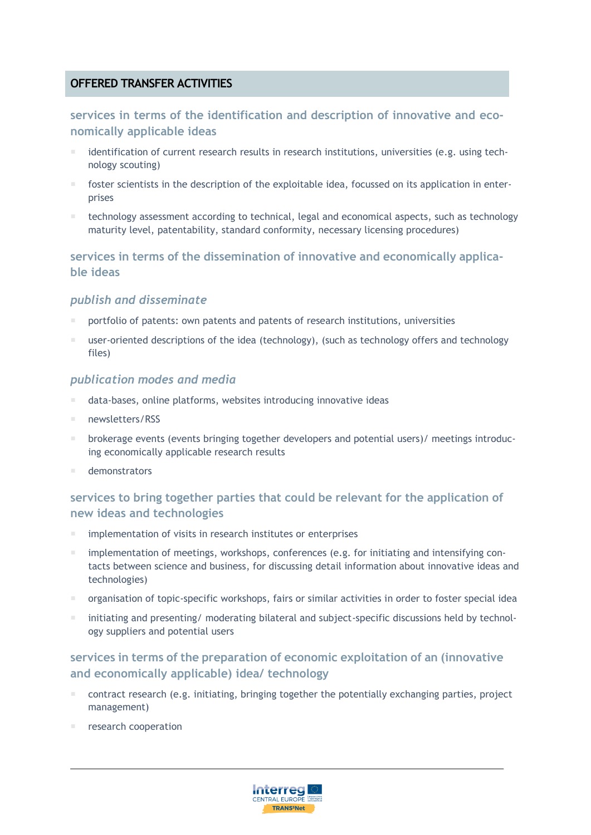# **OFFERED TRANSFER ACTIVITIES**

## **services in terms of the identification and description of innovative and economically applicable ideas**

- identification of current research results in research institutions, universities (e.g. using technology scouting)
- foster scientists in the description of the exploitable idea, focussed on its application in enterprises
- technology assessment according to technical, legal and economical aspects, such as technology maturity level, patentability, standard conformity, necessary licensing procedures)

## **services in terms of the dissemination of innovative and economically applicable ideas**

### *publish and disseminate*

- portfolio of patents: own patents and patents of research institutions, universities
- user-oriented descriptions of the idea (technology), (such as technology offers and technology files)

#### *publication modes and media*

- data-bases, online platforms, websites introducing innovative ideas
- newsletters/RSS
- brokerage events (events bringing together developers and potential users)/ meetings introducing economically applicable research results
- demonstrators

## **services to bring together parties that could be relevant for the application of new ideas and technologies**

- implementation of visits in research institutes or enterprises
- implementation of meetings, workshops, conferences (e.g. for initiating and intensifying contacts between science and business, for discussing detail information about innovative ideas and technologies)
- organisation of topic-specific workshops, fairs or similar activities in order to foster special idea
- initiating and presenting/ moderating bilateral and subject-specific discussions held by technology suppliers and potential users

# **services in terms of the preparation of economic exploitation of an (innovative and economically applicable) idea/ technology**

- contract research (e.g. initiating, bringing together the potentially exchanging parties, project management)
- research cooperation